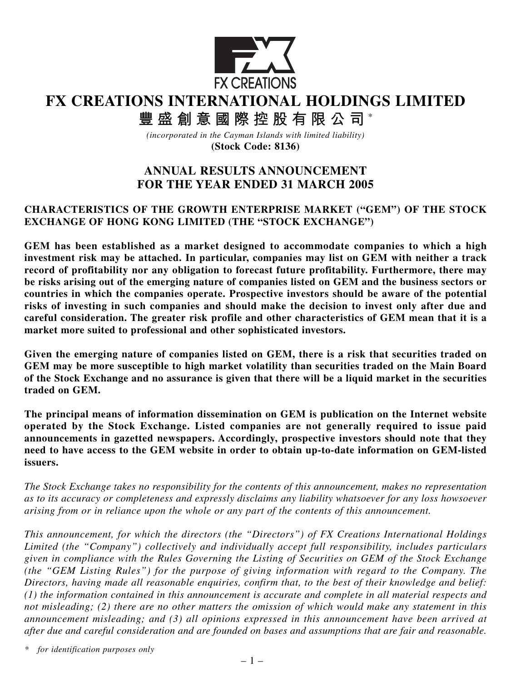

# **FX CREATIONS INTERNATIONAL HOLDINGS LIMITED**

**豐盛創意國際控股有限公司** \*

*(incorporated in the Cayman Islands with limited liability)* **(Stock Code: 8136)**

## **ANNUAL RESULTS ANNOUNCEMENT FOR THE YEAR ENDED 31 MARCH 2005**

### **CHARACTERISTICS OF THE GROWTH ENTERPRISE MARKET ("GEM") OF THE STOCK EXCHANGE OF HONG KONG LIMITED (THE "STOCK EXCHANGE")**

**GEM has been established as a market designed to accommodate companies to which a high investment risk may be attached. In particular, companies may list on GEM with neither a track record of profitability nor any obligation to forecast future profitability. Furthermore, there may be risks arising out of the emerging nature of companies listed on GEM and the business sectors or countries in which the companies operate. Prospective investors should be aware of the potential risks of investing in such companies and should make the decision to invest only after due and careful consideration. The greater risk profile and other characteristics of GEM mean that it is a market more suited to professional and other sophisticated investors.**

**Given the emerging nature of companies listed on GEM, there is a risk that securities traded on GEM may be more susceptible to high market volatility than securities traded on the Main Board of the Stock Exchange and no assurance is given that there will be a liquid market in the securities traded on GEM.**

**The principal means of information dissemination on GEM is publication on the Internet website operated by the Stock Exchange. Listed companies are not generally required to issue paid announcements in gazetted newspapers. Accordingly, prospective investors should note that they need to have access to the GEM website in order to obtain up-to-date information on GEM-listed issuers.**

*The Stock Exchange takes no responsibility for the contents of this announcement, makes no representation as to its accuracy or completeness and expressly disclaims any liability whatsoever for any loss howsoever arising from or in reliance upon the whole or any part of the contents of this announcement.*

*This announcement, for which the directors (the "Directors") of FX Creations International Holdings Limited (the "Company") collectively and individually accept full responsibility, includes particulars given in compliance with the Rules Governing the Listing of Securities on GEM of the Stock Exchange (the "GEM Listing Rules") for the purpose of giving information with regard to the Company. The Directors, having made all reasonable enquiries, confirm that, to the best of their knowledge and belief: (1) the information contained in this announcement is accurate and complete in all material respects and not misleading; (2) there are no other matters the omission of which would make any statement in this announcement misleading; and (3) all opinions expressed in this announcement have been arrived at after due and careful consideration and are founded on bases and assumptions that are fair and reasonable.*

*\* for identification purposes only*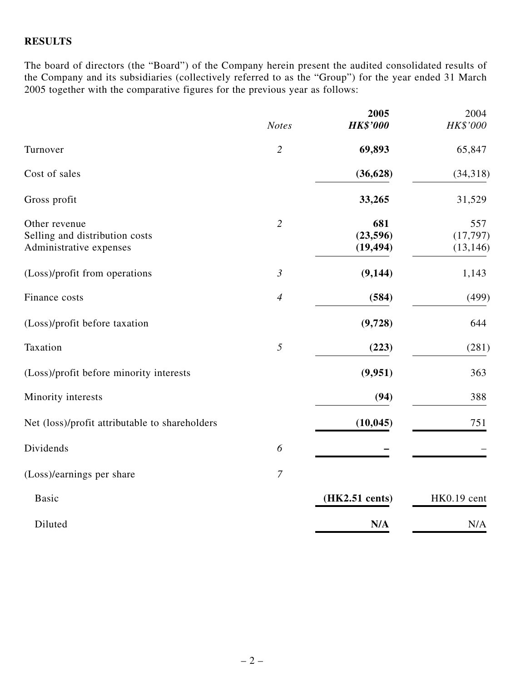### **RESULTS**

The board of directors (the "Board") of the Company herein present the audited consolidated results of the Company and its subsidiaries (collectively referred to as the "Group") for the year ended 31 March 2005 together with the comparative figures for the previous year as follows:

|                                                                            |                | 2005                         | 2004                          |
|----------------------------------------------------------------------------|----------------|------------------------------|-------------------------------|
|                                                                            | <b>Notes</b>   | <b>HK\$'000</b>              | HK\$'000                      |
| Turnover                                                                   | $\overline{2}$ | 69,893                       | 65,847                        |
| Cost of sales                                                              |                | (36, 628)                    | (34, 318)                     |
| Gross profit                                                               |                | 33,265                       | 31,529                        |
| Other revenue<br>Selling and distribution costs<br>Administrative expenses | $\overline{2}$ | 681<br>(23,596)<br>(19, 494) | 557<br>(17, 797)<br>(13, 146) |
| (Loss)/profit from operations                                              | $\mathfrak{Z}$ | (9, 144)                     | 1,143                         |
| Finance costs                                                              | $\overline{4}$ | (584)                        | (499)                         |
| (Loss)/profit before taxation                                              |                | (9,728)                      | 644                           |
| Taxation                                                                   | 5              | (223)                        | (281)                         |
| (Loss)/profit before minority interests                                    |                | (9,951)                      | 363                           |
| Minority interests                                                         |                | (94)                         | 388                           |
| Net (loss)/profit attributable to shareholders                             |                | (10, 045)                    | 751                           |
| Dividends                                                                  | 6              |                              |                               |
| (Loss)/earnings per share                                                  | $\overline{7}$ |                              |                               |
| <b>Basic</b>                                                               |                | (HK2.51 cents)               | HK0.19 cent                   |
| Diluted                                                                    |                | N/A                          | N/A                           |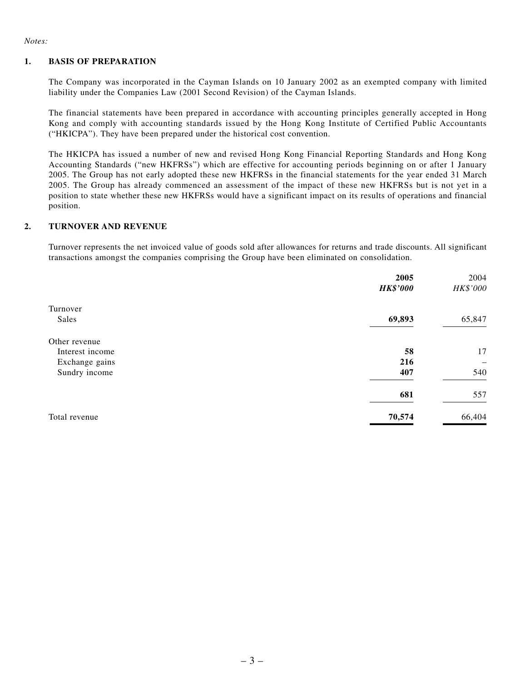*Notes:*

#### **1. BASIS OF PREPARATION**

The Company was incorporated in the Cayman Islands on 10 January 2002 as an exempted company with limited liability under the Companies Law (2001 Second Revision) of the Cayman Islands.

The financial statements have been prepared in accordance with accounting principles generally accepted in Hong Kong and comply with accounting standards issued by the Hong Kong Institute of Certified Public Accountants ("HKICPA"). They have been prepared under the historical cost convention.

The HKICPA has issued a number of new and revised Hong Kong Financial Reporting Standards and Hong Kong Accounting Standards ("new HKFRSs") which are effective for accounting periods beginning on or after 1 January 2005. The Group has not early adopted these new HKFRSs in the financial statements for the year ended 31 March 2005. The Group has already commenced an assessment of the impact of these new HKFRSs but is not yet in a position to state whether these new HKFRSs would have a significant impact on its results of operations and financial position.

#### **2. TURNOVER AND REVENUE**

Turnover represents the net invoiced value of goods sold after allowances for returns and trade discounts. All significant transactions amongst the companies comprising the Group have been eliminated on consolidation.

|                 | 2005            | 2004     |
|-----------------|-----------------|----------|
|                 | <b>HK\$'000</b> | HK\$'000 |
| Turnover        |                 |          |
| Sales           | 69,893          | 65,847   |
| Other revenue   |                 |          |
| Interest income | 58              | 17       |
| Exchange gains  | 216             |          |
| Sundry income   | 407             | 540      |
|                 | 681             | 557      |
| Total revenue   | 70,574          | 66,404   |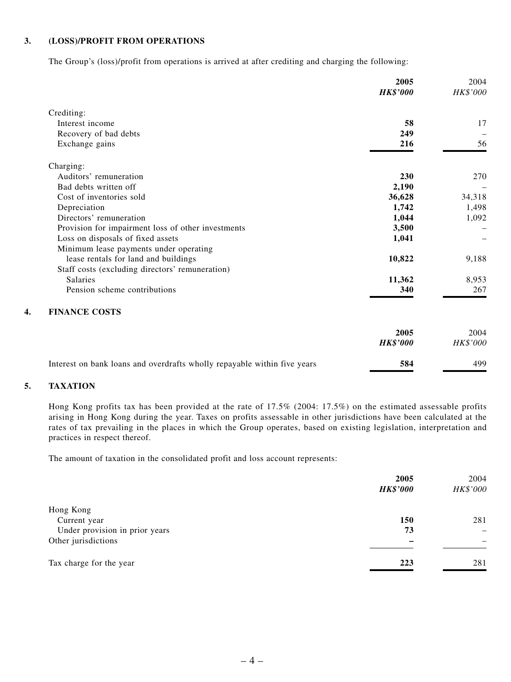#### **3. (LOSS)/PROFIT FROM OPERATIONS**

The Group's (loss)/profit from operations is arrived at after crediting and charging the following:

|                                                                          | 2005<br><b>HK\$'000</b> | 2004<br>HK\$'000 |
|--------------------------------------------------------------------------|-------------------------|------------------|
| Crediting:                                                               |                         |                  |
| Interest income                                                          | 58                      | 17               |
| Recovery of bad debts                                                    | 249                     |                  |
| Exchange gains                                                           | 216                     | 56               |
| Charging:                                                                |                         |                  |
| Auditors' remuneration                                                   | 230                     | 270              |
| Bad debts written off                                                    | 2,190                   |                  |
| Cost of inventories sold                                                 | 36,628                  | 34,318           |
| Depreciation                                                             | 1,742                   | 1,498            |
| Directors' remuneration                                                  | 1,044                   | 1,092            |
| Provision for impairment loss of other investments                       | 3,500                   |                  |
| Loss on disposals of fixed assets                                        | 1,041                   |                  |
| Minimum lease payments under operating                                   |                         |                  |
| lease rentals for land and buildings                                     | 10,822                  | 9,188            |
| Staff costs (excluding directors' remuneration)                          |                         |                  |
| Salaries                                                                 | 11,362                  | 8,953            |
| Pension scheme contributions                                             | 340                     | 267              |
| <b>FINANCE COSTS</b>                                                     |                         |                  |
|                                                                          | 2005                    | 2004             |
|                                                                          | <b>HK\$'000</b>         | <b>HK\$'000</b>  |
| Interest on bank loans and overdrafts wholly repayable within five years | 584                     | 499              |

#### **5. TAXATION**

Hong Kong profits tax has been provided at the rate of 17.5% (2004: 17.5%) on the estimated assessable profits arising in Hong Kong during the year. Taxes on profits assessable in other jurisdictions have been calculated at the rates of tax prevailing in the places in which the Group operates, based on existing legislation, interpretation and practices in respect thereof.

The amount of taxation in the consolidated profit and loss account represents:

|                                | 2005            |                   |
|--------------------------------|-----------------|-------------------|
|                                | <b>HK\$'000</b> | HK\$'000          |
| Hong Kong                      |                 |                   |
| Current year                   | <b>150</b>      | 281               |
| Under provision in prior years | 73              | $\qquad \qquad -$ |
| Other jurisdictions            |                 |                   |
| Tax charge for the year        | 223             | 281               |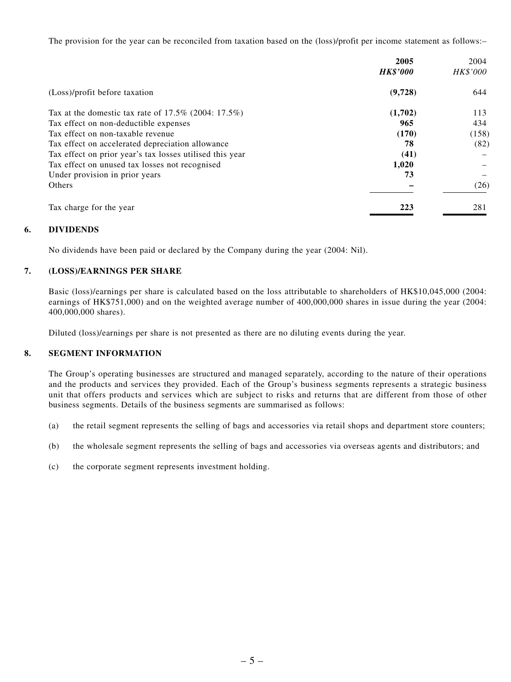The provision for the year can be reconciled from taxation based on the (loss)/profit per income statement as follows:–

|                                                          | 2005            | 2004     |
|----------------------------------------------------------|-----------------|----------|
|                                                          | <b>HK\$'000</b> | HK\$'000 |
| (Loss)/profit before taxation                            | (9,728)         | 644      |
| Tax at the domestic tax rate of $17.5\%$ (2004: 17.5%)   | (1,702)         | 113      |
| Tax effect on non-deductible expenses                    | 965             | 434      |
| Tax effect on non-taxable revenue                        | (170)           | (158)    |
| Tax effect on accelerated depreciation allowance         | 78              | (82)     |
| Tax effect on prior year's tax losses utilised this year | (41)            |          |
| Tax effect on unused tax losses not recognised           | 1,020           |          |
| Under provision in prior years                           | 73              |          |
| Others                                                   |                 | (26)     |
| Tax charge for the year                                  | 223             | 281      |

#### **6. DIVIDENDS**

No dividends have been paid or declared by the Company during the year (2004: Nil).

#### **7. (LOSS)/EARNINGS PER SHARE**

Basic (loss)/earnings per share is calculated based on the loss attributable to shareholders of HK\$10,045,000 (2004: earnings of HK\$751,000) and on the weighted average number of 400,000,000 shares in issue during the year (2004: 400,000,000 shares).

Diluted (loss)/earnings per share is not presented as there are no diluting events during the year.

#### **8. SEGMENT INFORMATION**

The Group's operating businesses are structured and managed separately, according to the nature of their operations and the products and services they provided. Each of the Group's business segments represents a strategic business unit that offers products and services which are subject to risks and returns that are different from those of other business segments. Details of the business segments are summarised as follows:

- (a) the retail segment represents the selling of bags and accessories via retail shops and department store counters;
- (b) the wholesale segment represents the selling of bags and accessories via overseas agents and distributors; and
- (c) the corporate segment represents investment holding.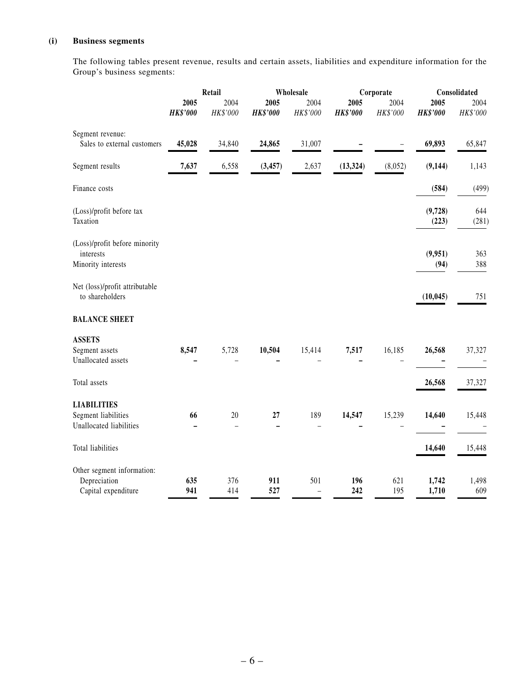### **(i) Business segments**

The following tables present revenue, results and certain assets, liabilities and expenditure information for the Group's business segments:

|                                                                      | Retail                  |                  |                                | Wholesale                       |                         |                               | Consolidated            |                  |  |
|----------------------------------------------------------------------|-------------------------|------------------|--------------------------------|---------------------------------|-------------------------|-------------------------------|-------------------------|------------------|--|
|                                                                      | 2005<br><b>HK\$'000</b> | 2004<br>HK\$'000 | 2005<br><b>HK\$'000</b>        | 2004<br>HK\$'000                | 2005<br><b>HK\$'000</b> | Corporate<br>2004<br>HK\$'000 | 2005<br><b>HK\$'000</b> | 2004<br>HK\$'000 |  |
| Segment revenue:<br>Sales to external customers                      | 45,028                  | 34,840           | 24,865                         | 31,007                          |                         |                               | 69,893                  | 65,847           |  |
| Segment results                                                      | 7,637                   | 6,558            | (3, 457)                       | 2,637                           | (13, 324)               | (8,052)                       | (9, 144)                | 1,143            |  |
| Finance costs                                                        |                         |                  |                                |                                 |                         |                               | (584)                   | (499)            |  |
| (Loss)/profit before tax<br>Taxation                                 |                         |                  |                                |                                 |                         |                               | (9,728)<br>(223)        | 644<br>(281)     |  |
| (Loss)/profit before minority<br>interests<br>Minority interests     |                         |                  |                                |                                 |                         |                               | (9,951)<br>(94)         | 363<br>388       |  |
| Net (loss)/profit attributable<br>to shareholders                    |                         |                  |                                |                                 |                         |                               | (10, 045)               | 751              |  |
| <b>BALANCE SHEET</b>                                                 |                         |                  |                                |                                 |                         |                               |                         |                  |  |
| <b>ASSETS</b><br>Segment assets<br>Unallocated assets                | 8,547                   | 5,728            | 10,504                         | 15,414                          | 7,517                   | 16,185                        | 26,568                  | 37,327           |  |
| Total assets                                                         |                         |                  |                                |                                 |                         |                               | 26,568                  | 37,327           |  |
| <b>LIABILITIES</b><br>Segment liabilities<br>Unallocated liabilities | 66                      | 20<br>$\equiv$   | 27<br>$\overline{\phantom{0}}$ | 189                             | 14,547                  | 15,239                        | 14,640                  | 15,448           |  |
| Total liabilities                                                    |                         |                  |                                |                                 |                         |                               | 14,640                  | 15,448           |  |
| Other segment information:<br>Depreciation<br>Capital expenditure    | 635<br>941              | 376<br>414       | 911<br>527                     | 501<br>$\overline{\phantom{0}}$ | 196<br>242              | 621<br>195                    | 1,742<br>1,710          | 1,498<br>609     |  |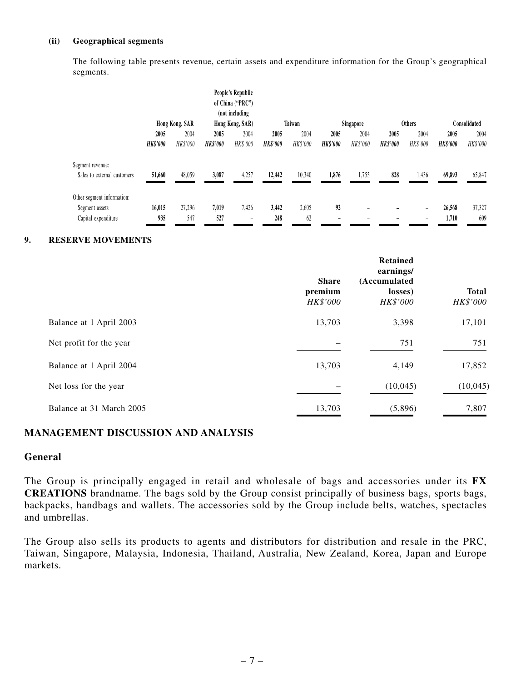#### **(ii) Geographical segments**

The following table presents revenue, certain assets and expenditure information for the Group's geographical segments.

|                             |                 |                |                 | People's Republic<br>of China ("PRC")<br>(not including |                 |                 |                 |                          |                 |               |                 |              |
|-----------------------------|-----------------|----------------|-----------------|---------------------------------------------------------|-----------------|-----------------|-----------------|--------------------------|-----------------|---------------|-----------------|--------------|
|                             |                 | Hong Kong, SAR |                 | Hong Kong, SAR)                                         |                 | Taiwan          |                 | Singapore                |                 | <b>Others</b> |                 | Consolidated |
|                             | 2005            | 2004           | 2005            | 2004                                                    | 2005            | 2004            | 2005            | 2004                     | 2005            | 2004          | 2005            | 2004         |
|                             | <b>HK\$'000</b> | HK\$'000       | <b>HK\$'000</b> | HK\$'000                                                | <b>HK\$'000</b> | <b>HK\$'000</b> | <b>HK\$'000</b> | <b>HK\$'000</b>          | <b>HK\$'000</b> | HK\$'000      | <b>HK\$'000</b> | HK\$'000     |
| Segment revenue:            |                 |                |                 |                                                         |                 |                 |                 |                          |                 |               |                 |              |
| Sales to external customers | 51,660          | 48,059         | 3,087           | 4,257                                                   | 12,442          | 10,340          | 1,876           | 1,755                    | 828             | 1,436         | 69,893          | 65,847       |
| Other segment information:  |                 |                |                 |                                                         |                 |                 |                 |                          |                 |               |                 |              |
| Segment assets              | 16.015          | 27,296         | 7.019           | 7.426                                                   | 3,442           | 2,605           | 92              | $\overline{\phantom{m}}$ |                 | -             | 26,568          | 37,327       |
| Capital expenditure         | 935             | 547            | 527             | $\overline{\phantom{a}}$                                | 248             | 62              | -               | -                        |                 | -             | 1,710           | 609          |

#### **9. RESERVE MOVEMENTS**

|                          | <b>Share</b><br>premium<br>HK\$'000 | Retained<br>earnings/<br>(Accumulated<br>losses)<br>HK\$'000 | <b>Total</b><br>HK\$'000 |
|--------------------------|-------------------------------------|--------------------------------------------------------------|--------------------------|
| Balance at 1 April 2003  | 13,703                              | 3,398                                                        | 17,101                   |
| Net profit for the year  |                                     | 751                                                          | 751                      |
| Balance at 1 April 2004  | 13,703                              | 4,149                                                        | 17,852                   |
| Net loss for the year    |                                     | (10,045)                                                     | (10,045)                 |
| Balance at 31 March 2005 | 13,703                              | (5,896)                                                      | 7,807                    |

#### **MANAGEMENT DISCUSSION AND ANALYSIS**

#### **General**

The Group is principally engaged in retail and wholesale of bags and accessories under its **FX CREATIONS** brandname. The bags sold by the Group consist principally of business bags, sports bags, backpacks, handbags and wallets. The accessories sold by the Group include belts, watches, spectacles and umbrellas.

The Group also sells its products to agents and distributors for distribution and resale in the PRC, Taiwan, Singapore, Malaysia, Indonesia, Thailand, Australia, New Zealand, Korea, Japan and Europe markets.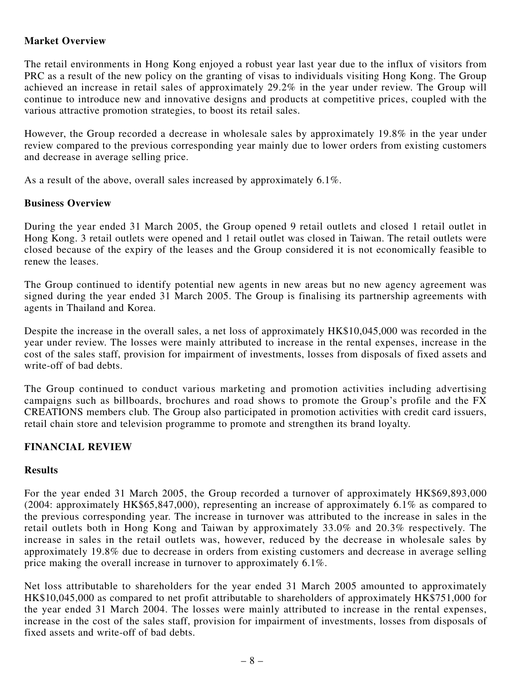### **Market Overview**

The retail environments in Hong Kong enjoyed a robust year last year due to the influx of visitors from PRC as a result of the new policy on the granting of visas to individuals visiting Hong Kong. The Group achieved an increase in retail sales of approximately 29.2% in the year under review. The Group will continue to introduce new and innovative designs and products at competitive prices, coupled with the various attractive promotion strategies, to boost its retail sales.

However, the Group recorded a decrease in wholesale sales by approximately 19.8% in the year under review compared to the previous corresponding year mainly due to lower orders from existing customers and decrease in average selling price.

As a result of the above, overall sales increased by approximately 6.1%.

### **Business Overview**

During the year ended 31 March 2005, the Group opened 9 retail outlets and closed 1 retail outlet in Hong Kong. 3 retail outlets were opened and 1 retail outlet was closed in Taiwan. The retail outlets were closed because of the expiry of the leases and the Group considered it is not economically feasible to renew the leases.

The Group continued to identify potential new agents in new areas but no new agency agreement was signed during the year ended 31 March 2005. The Group is finalising its partnership agreements with agents in Thailand and Korea.

Despite the increase in the overall sales, a net loss of approximately HK\$10,045,000 was recorded in the year under review. The losses were mainly attributed to increase in the rental expenses, increase in the cost of the sales staff, provision for impairment of investments, losses from disposals of fixed assets and write-off of bad debts.

The Group continued to conduct various marketing and promotion activities including advertising campaigns such as billboards, brochures and road shows to promote the Group's profile and the FX CREATIONS members club. The Group also participated in promotion activities with credit card issuers, retail chain store and television programme to promote and strengthen its brand loyalty.

### **FINANCIAL REVIEW**

### **Results**

For the year ended 31 March 2005, the Group recorded a turnover of approximately HK\$69,893,000 (2004: approximately HK\$65,847,000), representing an increase of approximately 6.1% as compared to the previous corresponding year. The increase in turnover was attributed to the increase in sales in the retail outlets both in Hong Kong and Taiwan by approximately 33.0% and 20.3% respectively. The increase in sales in the retail outlets was, however, reduced by the decrease in wholesale sales by approximately 19.8% due to decrease in orders from existing customers and decrease in average selling price making the overall increase in turnover to approximately 6.1%.

Net loss attributable to shareholders for the year ended 31 March 2005 amounted to approximately HK\$10,045,000 as compared to net profit attributable to shareholders of approximately HK\$751,000 for the year ended 31 March 2004. The losses were mainly attributed to increase in the rental expenses, increase in the cost of the sales staff, provision for impairment of investments, losses from disposals of fixed assets and write-off of bad debts.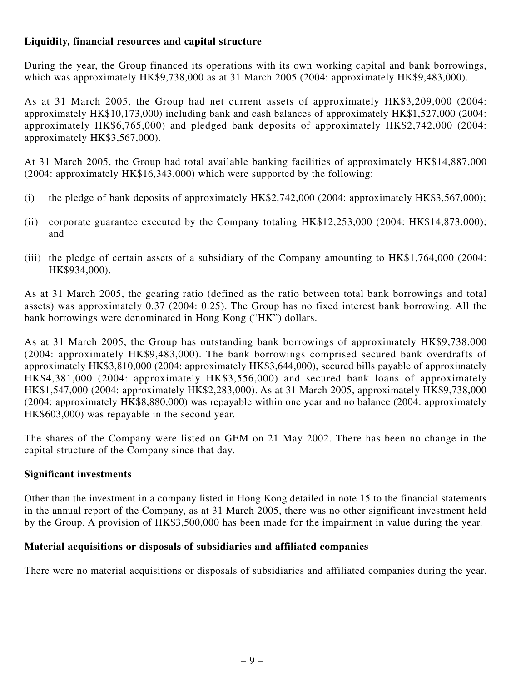### **Liquidity, financial resources and capital structure**

During the year, the Group financed its operations with its own working capital and bank borrowings, which was approximately HK\$9,738,000 as at 31 March 2005 (2004: approximately HK\$9,483,000).

As at 31 March 2005, the Group had net current assets of approximately HK\$3,209,000 (2004: approximately HK\$10,173,000) including bank and cash balances of approximately HK\$1,527,000 (2004: approximately HK\$6,765,000) and pledged bank deposits of approximately HK\$2,742,000 (2004: approximately HK\$3,567,000).

At 31 March 2005, the Group had total available banking facilities of approximately HK\$14,887,000 (2004: approximately HK\$16,343,000) which were supported by the following:

- (i) the pledge of bank deposits of approximately HK\$2,742,000 (2004: approximately HK\$3,567,000);
- (ii) corporate guarantee executed by the Company totaling HK\$12,253,000 (2004: HK\$14,873,000); and
- (iii) the pledge of certain assets of a subsidiary of the Company amounting to HK\$1,764,000 (2004: HK\$934,000).

As at 31 March 2005, the gearing ratio (defined as the ratio between total bank borrowings and total assets) was approximately 0.37 (2004: 0.25). The Group has no fixed interest bank borrowing. All the bank borrowings were denominated in Hong Kong ("HK") dollars.

As at 31 March 2005, the Group has outstanding bank borrowings of approximately HK\$9,738,000 (2004: approximately HK\$9,483,000). The bank borrowings comprised secured bank overdrafts of approximately HK\$3,810,000 (2004: approximately HK\$3,644,000), secured bills payable of approximately HK\$4,381,000 (2004: approximately HK\$3,556,000) and secured bank loans of approximately HK\$1,547,000 (2004: approximately HK\$2,283,000). As at 31 March 2005, approximately HK\$9,738,000 (2004: approximately HK\$8,880,000) was repayable within one year and no balance (2004: approximately HK\$603,000) was repayable in the second year.

The shares of the Company were listed on GEM on 21 May 2002. There has been no change in the capital structure of the Company since that day.

### **Significant investments**

Other than the investment in a company listed in Hong Kong detailed in note 15 to the financial statements in the annual report of the Company, as at 31 March 2005, there was no other significant investment held by the Group. A provision of HK\$3,500,000 has been made for the impairment in value during the year.

### **Material acquisitions or disposals of subsidiaries and affiliated companies**

There were no material acquisitions or disposals of subsidiaries and affiliated companies during the year.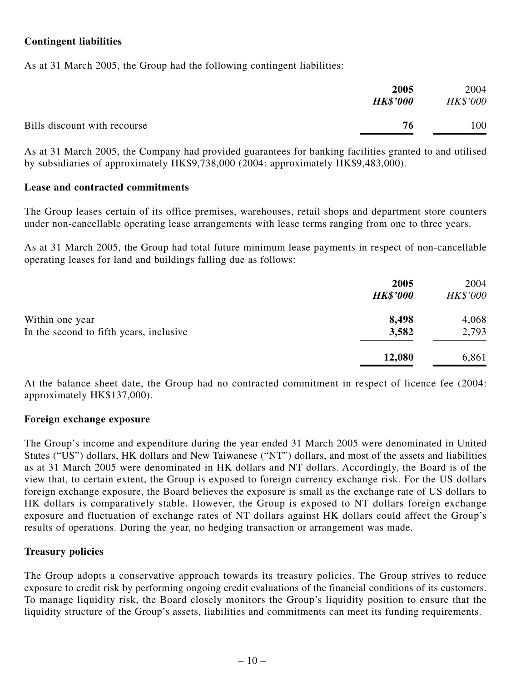### **Contingent liabilities**

As at 31 March 2005, the Group had the following contingent liabilities:

|                              | 2005<br><b>HK\$'000</b> | 2004<br>HK\$'000 |
|------------------------------|-------------------------|------------------|
| Bills discount with recourse | 76                      | 100              |

As at 31 March 2005, the Company had provided guarantees for banking facilities granted to and utilised by subsidiaries of approximately HK\$9,738,000 (2004: approximately HK\$9,483,000).

#### **Lease and contracted commitments**

The Group leases certain of its office premises, warehouses, retail shops and department store counters under non-cancellable operating lease arrangements with lease terms ranging from one to three years.

As at 31 March 2005, the Group had total future minimum lease payments in respect of non-cancellable operating leases for land and buildings falling due as follows:

|                                         | 2005<br><b>HK\$'000</b> | 2004<br>HK\$'000 |
|-----------------------------------------|-------------------------|------------------|
| Within one year                         | 8,498                   | 4,068            |
| In the second to fifth years, inclusive | 3,582                   | 2,793            |
|                                         | 12,080                  | 6,861            |

At the balance sheet date, the Group had no contracted commitment in respect of licence fee (2004: approximately HK\$137,000).

#### **Foreign exchange exposure**

The Group's income and expenditure during the year ended 31 March 2005 were denominated in United States ("US") dollars, HK dollars and New Taiwanese ("NT") dollars, and most of the assets and liabilities as at 31 March 2005 were denominated in HK dollars and NT dollars. Accordingly, the Board is of the view that, to certain extent, the Group is exposed to foreign currency exchange risk. For the US dollars foreign exchange exposure, the Board believes the exposure is small as the exchange rate of US dollars to HK dollars is comparatively stable. However, the Group is exposed to NT dollars foreign exchange exposure and fluctuation of exchange rates of NT dollars against HK dollars could affect the Group's results of operations. During the year, no hedging transaction or arrangement was made.

#### **Treasury policies**

The Group adopts a conservative approach towards its treasury policies. The Group strives to reduce exposure to credit risk by performing ongoing credit evaluations of the financial conditions of its customers. To manage liquidity risk, the Board closely monitors the Group's liquidity position to ensure that the liquidity structure of the Group's assets, liabilities and commitments can meet its funding requirements.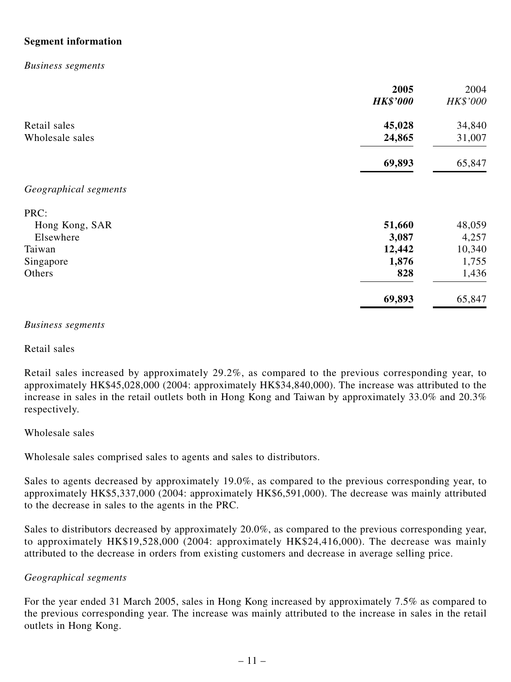### **Segment information**

#### *Business segments*

|                       | 2005<br><b>HK\$'000</b> | 2004<br>HK\$'000 |
|-----------------------|-------------------------|------------------|
| Retail sales          | 45,028                  | 34,840           |
| Wholesale sales       | 24,865                  | 31,007           |
|                       | 69,893                  | 65,847           |
| Geographical segments |                         |                  |
| PRC:                  |                         |                  |
| Hong Kong, SAR        | 51,660                  | 48,059           |
| Elsewhere             | 3,087                   | 4,257            |
| Taiwan                | 12,442                  | 10,340           |
| Singapore             | 1,876                   | 1,755            |
| Others                | 828                     | 1,436            |
|                       | 69,893                  | 65,847           |

#### *Business segments*

Retail sales

Retail sales increased by approximately 29.2%, as compared to the previous corresponding year, to approximately HK\$45,028,000 (2004: approximately HK\$34,840,000). The increase was attributed to the increase in sales in the retail outlets both in Hong Kong and Taiwan by approximately 33.0% and 20.3% respectively.

#### Wholesale sales

Wholesale sales comprised sales to agents and sales to distributors.

Sales to agents decreased by approximately 19.0%, as compared to the previous corresponding year, to approximately HK\$5,337,000 (2004: approximately HK\$6,591,000). The decrease was mainly attributed to the decrease in sales to the agents in the PRC.

Sales to distributors decreased by approximately 20.0%, as compared to the previous corresponding year, to approximately HK\$19,528,000 (2004: approximately HK\$24,416,000). The decrease was mainly attributed to the decrease in orders from existing customers and decrease in average selling price.

#### *Geographical segments*

For the year ended 31 March 2005, sales in Hong Kong increased by approximately 7.5% as compared to the previous corresponding year. The increase was mainly attributed to the increase in sales in the retail outlets in Hong Kong.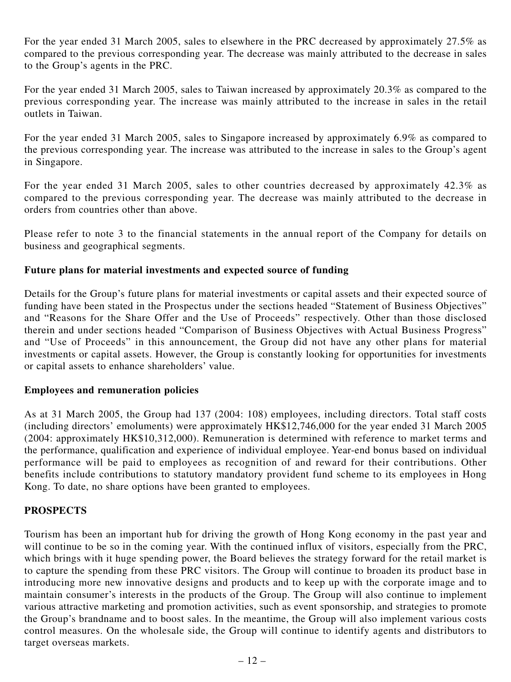For the year ended 31 March 2005, sales to elsewhere in the PRC decreased by approximately 27.5% as compared to the previous corresponding year. The decrease was mainly attributed to the decrease in sales to the Group's agents in the PRC.

For the year ended 31 March 2005, sales to Taiwan increased by approximately 20.3% as compared to the previous corresponding year. The increase was mainly attributed to the increase in sales in the retail outlets in Taiwan.

For the year ended 31 March 2005, sales to Singapore increased by approximately 6.9% as compared to the previous corresponding year. The increase was attributed to the increase in sales to the Group's agent in Singapore.

For the year ended 31 March 2005, sales to other countries decreased by approximately 42.3% as compared to the previous corresponding year. The decrease was mainly attributed to the decrease in orders from countries other than above.

Please refer to note 3 to the financial statements in the annual report of the Company for details on business and geographical segments.

### **Future plans for material investments and expected source of funding**

Details for the Group's future plans for material investments or capital assets and their expected source of funding have been stated in the Prospectus under the sections headed "Statement of Business Objectives" and "Reasons for the Share Offer and the Use of Proceeds" respectively. Other than those disclosed therein and under sections headed "Comparison of Business Objectives with Actual Business Progress" and "Use of Proceeds" in this announcement, the Group did not have any other plans for material investments or capital assets. However, the Group is constantly looking for opportunities for investments or capital assets to enhance shareholders' value.

### **Employees and remuneration policies**

As at 31 March 2005, the Group had 137 (2004: 108) employees, including directors. Total staff costs (including directors' emoluments) were approximately HK\$12,746,000 for the year ended 31 March 2005 (2004: approximately HK\$10,312,000). Remuneration is determined with reference to market terms and the performance, qualification and experience of individual employee. Year-end bonus based on individual performance will be paid to employees as recognition of and reward for their contributions. Other benefits include contributions to statutory mandatory provident fund scheme to its employees in Hong Kong. To date, no share options have been granted to employees.

### **PROSPECTS**

Tourism has been an important hub for driving the growth of Hong Kong economy in the past year and will continue to be so in the coming year. With the continued influx of visitors, especially from the PRC, which brings with it huge spending power, the Board believes the strategy forward for the retail market is to capture the spending from these PRC visitors. The Group will continue to broaden its product base in introducing more new innovative designs and products and to keep up with the corporate image and to maintain consumer's interests in the products of the Group. The Group will also continue to implement various attractive marketing and promotion activities, such as event sponsorship, and strategies to promote the Group's brandname and to boost sales. In the meantime, the Group will also implement various costs control measures. On the wholesale side, the Group will continue to identify agents and distributors to target overseas markets.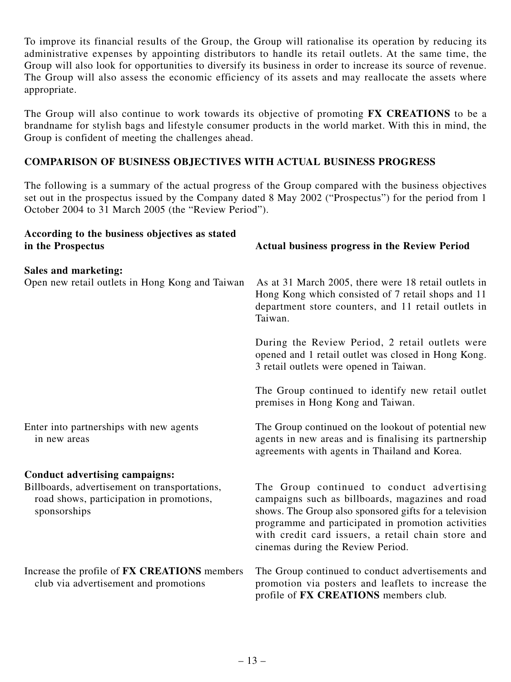To improve its financial results of the Group, the Group will rationalise its operation by reducing its administrative expenses by appointing distributors to handle its retail outlets. At the same time, the Group will also look for opportunities to diversify its business in order to increase its source of revenue. The Group will also assess the economic efficiency of its assets and may reallocate the assets where appropriate.

The Group will also continue to work towards its objective of promoting **FX CREATIONS** to be a brandname for stylish bags and lifestyle consumer products in the world market. With this in mind, the Group is confident of meeting the challenges ahead.

### **COMPARISON OF BUSINESS OBJECTIVES WITH ACTUAL BUSINESS PROGRESS**

The following is a summary of the actual progress of the Group compared with the business objectives set out in the prospectus issued by the Company dated 8 May 2002 ("Prospectus") for the period from 1 October 2004 to 31 March 2005 (the "Review Period").

| According to the business objectives as stated<br>in the Prospectus                                       | <b>Actual business progress in the Review Period</b>                                                                                                                                                                                                                                                      |
|-----------------------------------------------------------------------------------------------------------|-----------------------------------------------------------------------------------------------------------------------------------------------------------------------------------------------------------------------------------------------------------------------------------------------------------|
| Sales and marketing:<br>Open new retail outlets in Hong Kong and Taiwan                                   | As at 31 March 2005, there were 18 retail outlets in<br>Hong Kong which consisted of 7 retail shops and 11<br>department store counters, and 11 retail outlets in<br>Taiwan.                                                                                                                              |
|                                                                                                           | During the Review Period, 2 retail outlets were<br>opened and 1 retail outlet was closed in Hong Kong.<br>3 retail outlets were opened in Taiwan.                                                                                                                                                         |
|                                                                                                           | The Group continued to identify new retail outlet<br>premises in Hong Kong and Taiwan.                                                                                                                                                                                                                    |
| Enter into partnerships with new agents<br>in new areas                                                   | The Group continued on the lookout of potential new<br>agents in new areas and is finalising its partnership<br>agreements with agents in Thailand and Korea.                                                                                                                                             |
| <b>Conduct advertising campaigns:</b>                                                                     |                                                                                                                                                                                                                                                                                                           |
| Billboards, advertisement on transportations,<br>road shows, participation in promotions,<br>sponsorships | The Group continued to conduct advertising<br>campaigns such as billboards, magazines and road<br>shows. The Group also sponsored gifts for a television<br>programme and participated in promotion activities<br>with credit card issuers, a retail chain store and<br>cinemas during the Review Period. |
| Increase the profile of FX CREATIONS members<br>club via advertisement and promotions                     | The Group continued to conduct advertisements and<br>promotion via posters and leaflets to increase the<br>profile of FX CREATIONS members club.                                                                                                                                                          |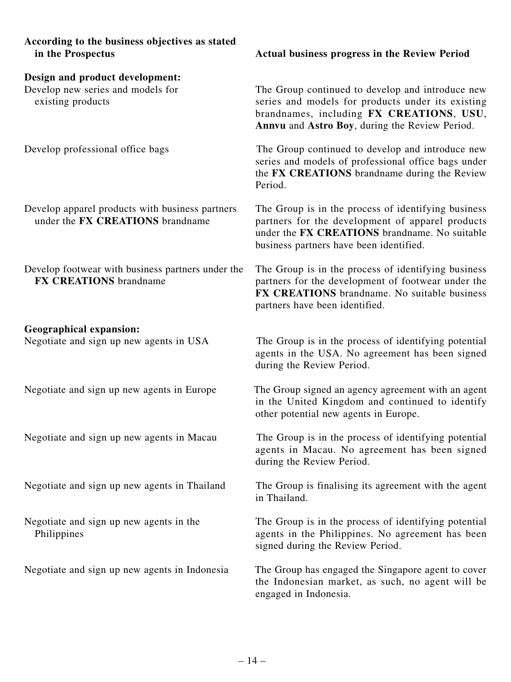| According to the business objectives as stated<br>in the Prospectus                       | <b>Actual business progress in the Review Period</b>                                                                                                                                                |
|-------------------------------------------------------------------------------------------|-----------------------------------------------------------------------------------------------------------------------------------------------------------------------------------------------------|
| Design and product development:<br>Develop new series and models for<br>existing products | The Group continued to develop and introduce new<br>series and models for products under its existing<br>brandnames, including FX CREATIONS, USU,<br>Annvu and Astro Boy, during the Review Period. |
| Develop professional office bags                                                          | The Group continued to develop and introduce new<br>series and models of professional office bags under<br>the FX CREATIONS brandname during the Review<br>Period.                                  |
| Develop apparel products with business partners<br>under the FX CREATIONS brandname       | The Group is in the process of identifying business<br>partners for the development of apparel products<br>under the FX CREATIONS brandname. No suitable<br>business partners have been identified. |
| Develop footwear with business partners under the<br><b>FX CREATIONS</b> brandname        | The Group is in the process of identifying business<br>partners for the development of footwear under the<br>FX CREATIONS brandname. No suitable business<br>partners have been identified.         |
| <b>Geographical expansion:</b><br>Negotiate and sign up new agents in USA                 | The Group is in the process of identifying potential<br>agents in the USA. No agreement has been signed<br>during the Review Period.                                                                |
| Negotiate and sign up new agents in Europe                                                | The Group signed an agency agreement with an agent<br>in the United Kingdom and continued to identify<br>other potential new agents in Europe.                                                      |
| Negotiate and sign up new agents in Macau                                                 | The Group is in the process of identifying potential<br>agents in Macau. No agreement has been signed<br>during the Review Period.                                                                  |
| Negotiate and sign up new agents in Thailand                                              | The Group is finalising its agreement with the agent<br>in Thailand.                                                                                                                                |
| Negotiate and sign up new agents in the<br>Philippines                                    | The Group is in the process of identifying potential<br>agents in the Philippines. No agreement has been<br>signed during the Review Period.                                                        |
| Negotiate and sign up new agents in Indonesia                                             | The Group has engaged the Singapore agent to cover<br>the Indonesian market, as such, no agent will be<br>engaged in Indonesia.                                                                     |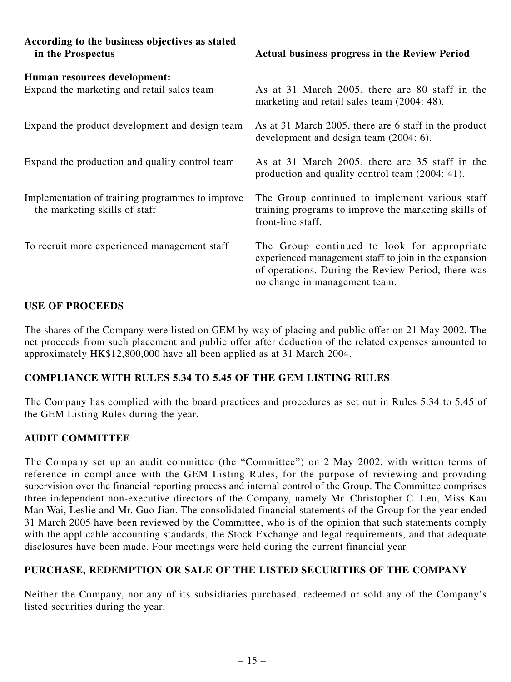| According to the business objectives as stated<br>in the Prospectus               | <b>Actual business progress in the Review Period</b>                                                                                                                                        |
|-----------------------------------------------------------------------------------|---------------------------------------------------------------------------------------------------------------------------------------------------------------------------------------------|
| Human resources development:<br>Expand the marketing and retail sales team        | As at 31 March 2005, there are 80 staff in the<br>marketing and retail sales team (2004: 48).                                                                                               |
| Expand the product development and design team                                    | As at 31 March 2005, there are 6 staff in the product<br>development and design team (2004: 6).                                                                                             |
| Expand the production and quality control team                                    | As at 31 March 2005, there are 35 staff in the<br>production and quality control team (2004: 41).                                                                                           |
| Implementation of training programmes to improve<br>the marketing skills of staff | The Group continued to implement various staff<br>training programs to improve the marketing skills of<br>front-line staff.                                                                 |
| To recruit more experienced management staff                                      | The Group continued to look for appropriate<br>experienced management staff to join in the expansion<br>of operations. During the Review Period, there was<br>no change in management team. |

### **USE OF PROCEEDS**

The shares of the Company were listed on GEM by way of placing and public offer on 21 May 2002. The net proceeds from such placement and public offer after deduction of the related expenses amounted to approximately HK\$12,800,000 have all been applied as at 31 March 2004.

### **COMPLIANCE WITH RULES 5.34 TO 5.45 OF THE GEM LISTING RULES**

The Company has complied with the board practices and procedures as set out in Rules 5.34 to 5.45 of the GEM Listing Rules during the year.

### **AUDIT COMMITTEE**

The Company set up an audit committee (the "Committee") on 2 May 2002, with written terms of reference in compliance with the GEM Listing Rules, for the purpose of reviewing and providing supervision over the financial reporting process and internal control of the Group. The Committee comprises three independent non-executive directors of the Company, namely Mr. Christopher C. Leu, Miss Kau Man Wai, Leslie and Mr. Guo Jian. The consolidated financial statements of the Group for the year ended 31 March 2005 have been reviewed by the Committee, who is of the opinion that such statements comply with the applicable accounting standards, the Stock Exchange and legal requirements, and that adequate disclosures have been made. Four meetings were held during the current financial year.

### **PURCHASE, REDEMPTION OR SALE OF THE LISTED SECURITIES OF THE COMPANY**

Neither the Company, nor any of its subsidiaries purchased, redeemed or sold any of the Company's listed securities during the year.